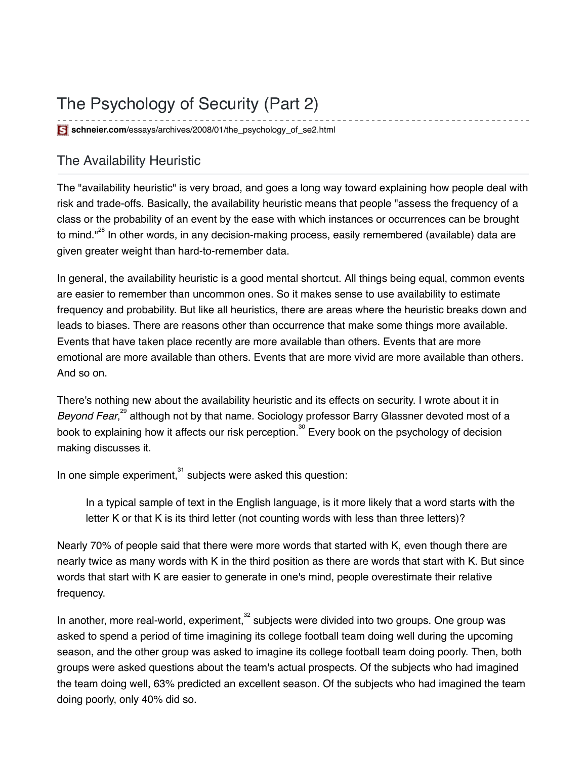## The Psychology of Security (Part 2)

**Solaratives/2008/01/the\_psychology\_of\_se2.html** 

#### The Availability Heuristic

The "availability heuristic" is very broad, and goes a long way toward explaining how people deal with risk and trade-offs. Basically, the availability heuristic means that people "assess the frequency of a class or the probability of an event by the ease with which instances or occurrences can be brought to mind."<sup>28</sup> In other words, in any decision-making process, easily remembered (available) data are given greater weight than hard-to-remember data.

In general, the availability heuristic is a good mental shortcut. All things being equal, common events are easier to remember than uncommon ones. So it makes sense to use availability to estimate frequency and probability. But like all heuristics, there are areas where the heuristic breaks down and leads to biases. There are reasons other than occurrence that make some things more available. Events that have taken place recently are more available than others. Events that are more emotional are more available than others. Events that are more vivid are more available than others. And so on.

There's nothing new about the availability heuristic and its effects on security. I wrote about it in Beyond Fear,<sup>29</sup> although not by that name. Sociology professor Barry Glassner devoted most of a book to explaining how it affects our risk perception. $^{30}$  Every book on the psychology of decision making discusses it.

In one simple experiment, $31$  subjects were asked this question:

In a typical sample of text in the English language, is it more likely that a word starts with the letter K or that K is its third letter (not counting words with less than three letters)?

Nearly 70% of people said that there were more words that started with K, even though there are nearly twice as many words with K in the third position as there are words that start with K. But since words that start with K are easier to generate in one's mind, people overestimate their relative frequency.

In another, more real-world, experiment, $32$  subjects were divided into two groups. One group was asked to spend a period of time imagining its college football team doing well during the upcoming season, and the other group was asked to imagine its college football team doing poorly. Then, both groups were asked questions about the team's actual prospects. Of the subjects who had imagined the team doing well, 63% predicted an excellent season. Of the subjects who had imagined the team doing poorly, only 40% did so.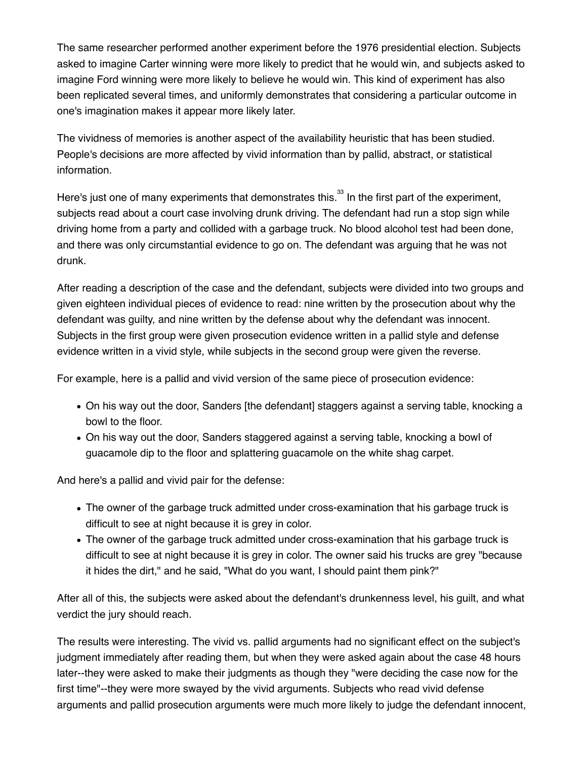The same researcher performed another experiment before the 1976 presidential election. Subjects asked to imagine Carter winning were more likely to predict that he would win, and subjects asked to imagine Ford winning were more likely to believe he would win. This kind of experiment has also been replicated several times, and uniformly demonstrates that considering a particular outcome in one's imagination makes it appear more likely later.

The vividness of memories is another aspect of the availability heuristic that has been studied. People's decisions are more affected by vivid information than by pallid, abstract, or statistical information.

Here's just one of many experiments that demonstrates this.<sup>33</sup> In the first part of the experiment, subjects read about a court case involving drunk driving. The defendant had run a stop sign while driving home from a party and collided with a garbage truck. No blood alcohol test had been done, and there was only circumstantial evidence to go on. The defendant was arguing that he was not drunk.

After reading a description of the case and the defendant, subjects were divided into two groups and given eighteen individual pieces of evidence to read: nine written by the prosecution about why the defendant was guilty, and nine written by the defense about why the defendant was innocent. Subjects in the first group were given prosecution evidence written in a pallid style and defense evidence written in a vivid style, while subjects in the second group were given the reverse.

For example, here is a pallid and vivid version of the same piece of prosecution evidence:

- On his way out the door, Sanders [the defendant] staggers against a serving table, knocking a bowl to the floor.
- On his way out the door, Sanders staggered against a serving table, knocking a bowl of guacamole dip to the floor and splattering guacamole on the white shag carpet.

And here's a pallid and vivid pair for the defense:

- The owner of the garbage truck admitted under cross-examination that his garbage truck is difficult to see at night because it is grey in color.
- The owner of the garbage truck admitted under cross-examination that his garbage truck is difficult to see at night because it is grey in color. The owner said his trucks are grey "because it hides the dirt," and he said, "What do you want, I should paint them pink?"

After all of this, the subjects were asked about the defendant's drunkenness level, his guilt, and what verdict the jury should reach.

The results were interesting. The vivid vs. pallid arguments had no significant effect on the subject's judgment immediately after reading them, but when they were asked again about the case 48 hours later--they were asked to make their judgments as though they "were deciding the case now for the first time"--they were more swayed by the vivid arguments. Subjects who read vivid defense arguments and pallid prosecution arguments were much more likely to judge the defendant innocent,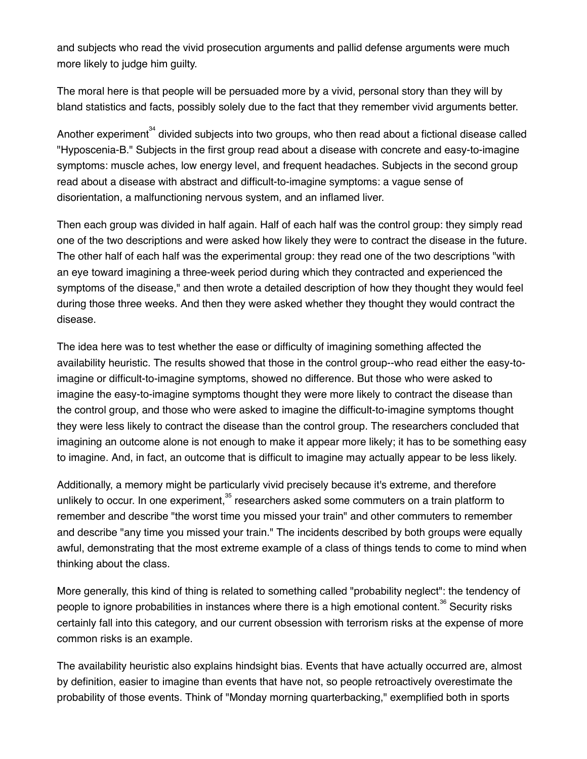and subjects who read the vivid prosecution arguments and pallid defense arguments were much more likely to judge him guilty.

The moral here is that people will be persuaded more by a vivid, personal story than they will by bland statistics and facts, possibly solely due to the fact that they remember vivid arguments better.

Another experiment<sup>34</sup> divided subjects into two groups, who then read about a fictional disease called "Hyposcenia-B." Subjects in the first group read about a disease with concrete and easy-to-imagine symptoms: muscle aches, low energy level, and frequent headaches. Subjects in the second group read about a disease with abstract and difficult-to-imagine symptoms: a vague sense of disorientation, a malfunctioning nervous system, and an inflamed liver.

Then each group was divided in half again. Half of each half was the control group: they simply read one of the two descriptions and were asked how likely they were to contract the disease in the future. The other half of each half was the experimental group: they read one of the two descriptions "with an eye toward imagining a three-week period during which they contracted and experienced the symptoms of the disease," and then wrote a detailed description of how they thought they would feel during those three weeks. And then they were asked whether they thought they would contract the disease.

The idea here was to test whether the ease or difficulty of imagining something affected the availability heuristic. The results showed that those in the control group--who read either the easy-toimagine or difficult-to-imagine symptoms, showed no difference. But those who were asked to imagine the easy-to-imagine symptoms thought they were more likely to contract the disease than the control group, and those who were asked to imagine the difficult-to-imagine symptoms thought they were less likely to contract the disease than the control group. The researchers concluded that imagining an outcome alone is not enough to make it appear more likely; it has to be something easy to imagine. And, in fact, an outcome that is difficult to imagine may actually appear to be less likely.

Additionally, a memory might be particularly vivid precisely because it's extreme, and therefore unlikely to occur. In one experiment,<sup>35</sup> researchers asked some commuters on a train platform to remember and describe "the worst time you missed your train" and other commuters to remember and describe "any time you missed your train." The incidents described by both groups were equally awful, demonstrating that the most extreme example of a class of things tends to come to mind when thinking about the class.

More generally, this kind of thing is related to something called "probability neglect": the tendency of people to ignore probabilities in instances where there is a high emotional content. $^{36}$  Security risks certainly fall into this category, and our current obsession with terrorism risks at the expense of more common risks is an example.

The availability heuristic also explains hindsight bias. Events that have actually occurred are, almost by definition, easier to imagine than events that have not, so people retroactively overestimate the probability of those events. Think of "Monday morning quarterbacking," exemplified both in sports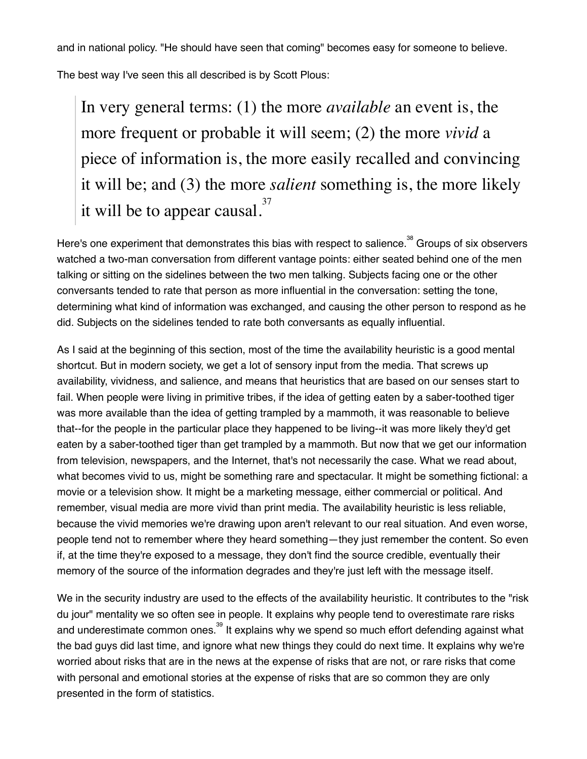and in national policy. "He should have seen that coming" becomes easy for someone to believe.

The best way I've seen this all described is by Scott Plous:

In very general terms: (1) the more *available* an event is, the more frequent or probable it will seem; (2) the more *vivid* a piece of information is, the more easily recalled and convincing it will be; and (3) the more *salient* something is, the more likely it will be to appear causal.<sup>37</sup>

Here's one experiment that demonstrates this bias with respect to salience.<sup>38</sup> Groups of six observers watched a two-man conversation from different vantage points: either seated behind one of the men talking or sitting on the sidelines between the two men talking. Subjects facing one or the other conversants tended to rate that person as more influential in the conversation: setting the tone, determining what kind of information was exchanged, and causing the other person to respond as he did. Subjects on the sidelines tended to rate both conversants as equally influential.

As I said at the beginning of this section, most of the time the availability heuristic is a good mental shortcut. But in modern society, we get a lot of sensory input from the media. That screws up availability, vividness, and salience, and means that heuristics that are based on our senses start to fail. When people were living in primitive tribes, if the idea of getting eaten by a saber-toothed tiger was more available than the idea of getting trampled by a mammoth, it was reasonable to believe that--for the people in the particular place they happened to be living--it was more likely they'd get eaten by a saber-toothed tiger than get trampled by a mammoth. But now that we get our information from television, newspapers, and the Internet, that's not necessarily the case. What we read about, what becomes vivid to us, might be something rare and spectacular. It might be something fictional: a movie or a television show. It might be a marketing message, either commercial or political. And remember, visual media are more vivid than print media. The availability heuristic is less reliable, because the vivid memories we're drawing upon aren't relevant to our real situation. And even worse, people tend not to remember where they heard something—they just remember the content. So even if, at the time they're exposed to a message, they don't find the source credible, eventually their memory of the source of the information degrades and they're just left with the message itself.

We in the security industry are used to the effects of the availability heuristic. It contributes to the "risk du jour" mentality we so often see in people. It explains why people tend to overestimate rare risks and underestimate common ones.<sup>39</sup> It explains why we spend so much effort defending against what the bad guys did last time, and ignore what new things they could do next time. It explains why we're worried about risks that are in the news at the expense of risks that are not, or rare risks that come with personal and emotional stories at the expense of risks that are so common they are only presented in the form of statistics.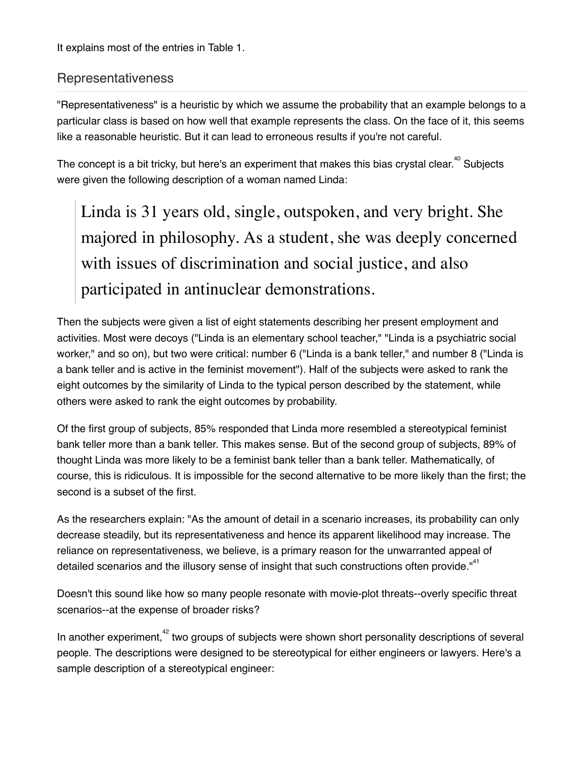#### **Representativeness**

"Representativeness" is a heuristic by which we assume the probability that an example belongs to a particular class is based on how well that example represents the class. On the face of it, this seems like a reasonable heuristic. But it can lead to erroneous results if you're not careful.

The concept is a bit tricky, but here's an experiment that makes this bias crystal clear. $^{40}$  Subjects were given the following description of a woman named Linda:

# Linda is 31 years old, single, outspoken, and very bright. She majored in philosophy. As a student, she was deeply concerned with issues of discrimination and social justice, and also participated in antinuclear demonstrations.

Then the subjects were given a list of eight statements describing her present employment and activities. Most were decoys ("Linda is an elementary school teacher," "Linda is a psychiatric social worker," and so on), but two were critical: number 6 ("Linda is a bank teller," and number 8 ("Linda is a bank teller and is active in the feminist movement"). Half of the subjects were asked to rank the eight outcomes by the similarity of Linda to the typical person described by the statement, while others were asked to rank the eight outcomes by probability.

Of the first group of subjects, 85% responded that Linda more resembled a stereotypical feminist bank teller more than a bank teller. This makes sense. But of the second group of subjects, 89% of thought Linda was more likely to be a feminist bank teller than a bank teller. Mathematically, of course, this is ridiculous. It is impossible for the second alternative to be more likely than the first; the second is a subset of the first.

As the researchers explain: "As the amount of detail in a scenario increases, its probability can only decrease steadily, but its representativeness and hence its apparent likelihood may increase. The reliance on representativeness, we believe, is a primary reason for the unwarranted appeal of detailed scenarios and the illusory sense of insight that such constructions often provide."<sup>41</sup>

Doesn't this sound like how so many people resonate with movie-plot threats--overly specific threat scenarios--at the expense of broader risks?

In another experiment, $42$  two groups of subjects were shown short personality descriptions of several people. The descriptions were designed to be stereotypical for either engineers or lawyers. Here's a sample description of a stereotypical engineer: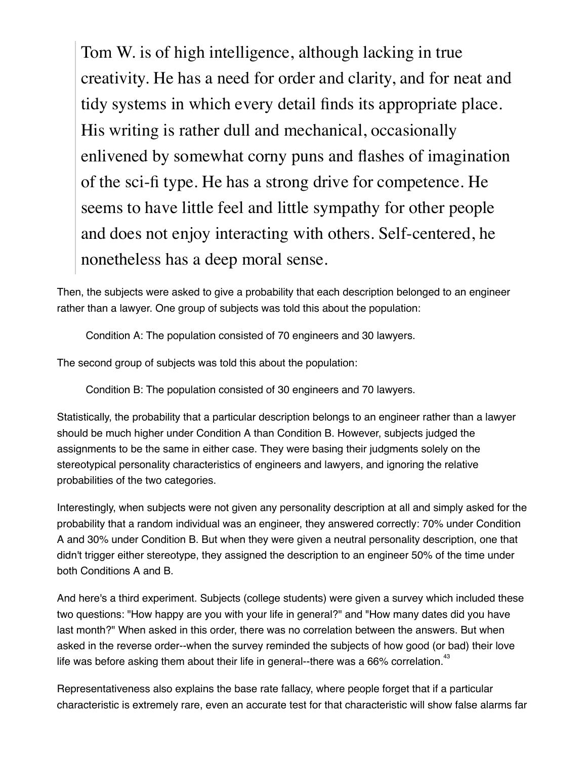Tom W. is of high intelligence, although lacking in true creativity. He has a need for order and clarity, and for neat and tidy systems in which every detail finds its appropriate place. His writing is rather dull and mechanical, occasionally enlivened by somewhat corny puns and flashes of imagination of the sci-fi type. He has a strong drive for competence. He seems to have little feel and little sympathy for other people and does not enjoy interacting with others. Self-centered, he nonetheless has a deep moral sense.

Then, the subjects were asked to give a probability that each description belonged to an engineer rather than a lawyer. One group of subjects was told this about the population:

Condition A: The population consisted of 70 engineers and 30 lawyers.

The second group of subjects was told this about the population:

Condition B: The population consisted of 30 engineers and 70 lawyers.

Statistically, the probability that a particular description belongs to an engineer rather than a lawyer should be much higher under Condition A than Condition B. However, subjects judged the assignments to be the same in either case. They were basing their judgments solely on the stereotypical personality characteristics of engineers and lawyers, and ignoring the relative probabilities of the two categories.

Interestingly, when subjects were not given any personality description at all and simply asked for the probability that a random individual was an engineer, they answered correctly: 70% under Condition A and 30% under Condition B. But when they were given a neutral personality description, one that didn't trigger either stereotype, they assigned the description to an engineer 50% of the time under both Conditions A and B.

And here's a third experiment. Subjects (college students) were given a survey which included these two questions: "How happy are you with your life in general?" and "How many dates did you have last month?" When asked in this order, there was no correlation between the answers. But when asked in the reverse order--when the survey reminded the subjects of how good (or bad) their love life was before asking them about their life in general--there was a 66% correlation.<sup>43</sup>

Representativeness also explains the base rate fallacy, where people forget that if a particular characteristic is extremely rare, even an accurate test for that characteristic will show false alarms far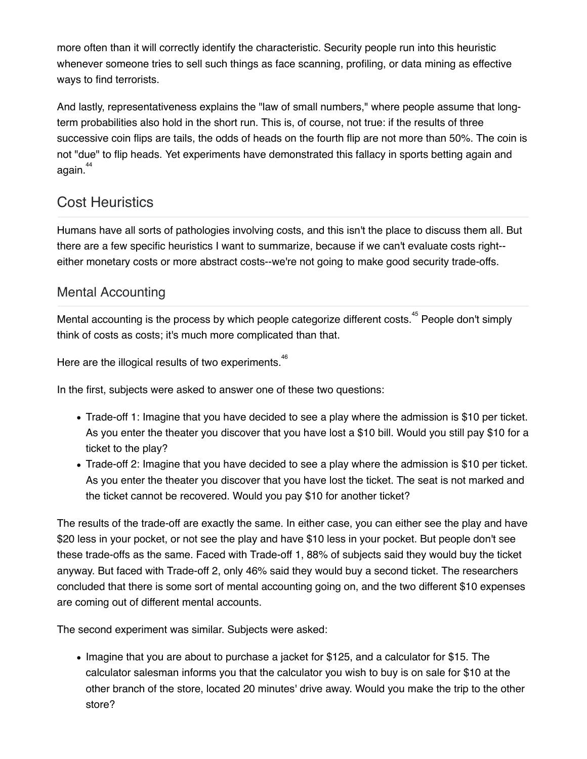more often than it will correctly identify the characteristic. Security people run into this heuristic whenever someone tries to sell such things as face scanning, profiling, or data mining as effective ways to find terrorists.

And lastly, representativeness explains the "law of small numbers," where people assume that longterm probabilities also hold in the short run. This is, of course, not true: if the results of three successive coin flips are tails, the odds of heads on the fourth flip are not more than 50%. The coin is not "due" to flip heads. Yet experiments have demonstrated this fallacy in sports betting again and again. 44

## Cost Heuristics

Humans have all sorts of pathologies involving costs, and this isn't the place to discuss them all. But there are a few specific heuristics I want to summarize, because if we can't evaluate costs right- either monetary costs or more abstract costs--we're not going to make good security trade-offs.

## Mental Accounting

Mental accounting is the process by which people categorize different costs.<sup>45</sup> People don't simply think of costs as costs; it's much more complicated than that.

Here are the illogical results of two experiments.<sup>46</sup>

In the first, subjects were asked to answer one of these two questions:

- Trade-off 1: Imagine that you have decided to see a play where the admission is \$10 per ticket. As you enter the theater you discover that you have lost a \$10 bill. Would you still pay \$10 for a ticket to the play?
- Trade-off 2: Imagine that you have decided to see a play where the admission is \$10 per ticket. As you enter the theater you discover that you have lost the ticket. The seat is not marked and the ticket cannot be recovered. Would you pay \$10 for another ticket?

The results of the trade-off are exactly the same. In either case, you can either see the play and have \$20 less in your pocket, or not see the play and have \$10 less in your pocket. But people don't see these trade-offs as the same. Faced with Trade-off 1, 88% of subjects said they would buy the ticket anyway. But faced with Trade-off 2, only 46% said they would buy a second ticket. The researchers concluded that there is some sort of mental accounting going on, and the two different \$10 expenses are coming out of different mental accounts.

The second experiment was similar. Subjects were asked:

• Imagine that you are about to purchase a jacket for \$125, and a calculator for \$15. The calculator salesman informs you that the calculator you wish to buy is on sale for \$10 at the other branch of the store, located 20 minutes' drive away. Would you make the trip to the other store?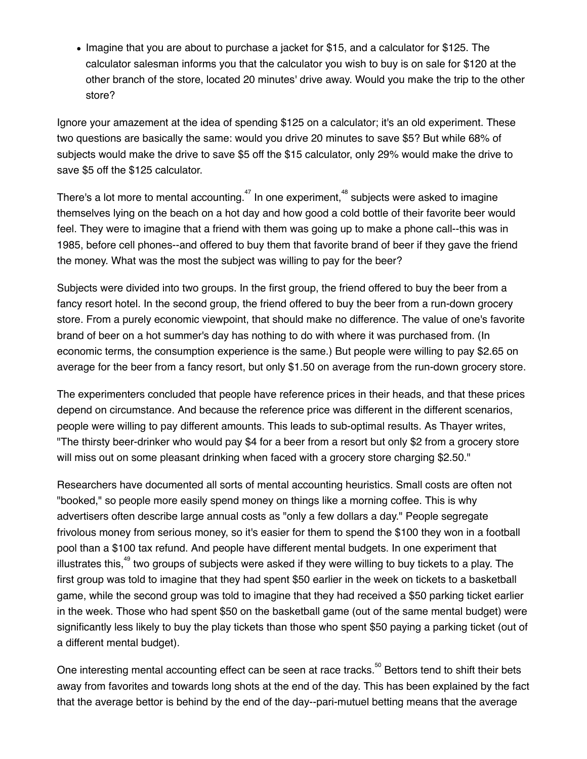• Imagine that you are about to purchase a jacket for \$15, and a calculator for \$125. The calculator salesman informs you that the calculator you wish to buy is on sale for \$120 at the other branch of the store, located 20 minutes' drive away. Would you make the trip to the other store?

Ignore your amazement at the idea of spending \$125 on a calculator; it's an old experiment. These two questions are basically the same: would you drive 20 minutes to save \$5? But while 68% of subjects would make the drive to save \$5 off the \$15 calculator, only 29% would make the drive to save \$5 off the \$125 calculator.

There's a lot more to mental accounting. $^{47}$  In one experiment, $^{48}$  subjects were asked to imagine themselves lying on the beach on a hot day and how good a cold bottle of their favorite beer would feel. They were to imagine that a friend with them was going up to make a phone call--this was in 1985, before cell phones--and offered to buy them that favorite brand of beer if they gave the friend the money. What was the most the subject was willing to pay for the beer?

Subjects were divided into two groups. In the first group, the friend offered to buy the beer from a fancy resort hotel. In the second group, the friend offered to buy the beer from a run-down grocery store. From a purely economic viewpoint, that should make no difference. The value of one's favorite brand of beer on a hot summer's day has nothing to do with where it was purchased from. (In economic terms, the consumption experience is the same.) But people were willing to pay \$2.65 on average for the beer from a fancy resort, but only \$1.50 on average from the run-down grocery store.

The experimenters concluded that people have reference prices in their heads, and that these prices depend on circumstance. And because the reference price was different in the different scenarios, people were willing to pay different amounts. This leads to sub-optimal results. As Thayer writes, "The thirsty beer-drinker who would pay \$4 for a beer from a resort but only \$2 from a grocery store will miss out on some pleasant drinking when faced with a grocery store charging \$2.50."

Researchers have documented all sorts of mental accounting heuristics. Small costs are often not "booked," so people more easily spend money on things like a morning coffee. This is why advertisers often describe large annual costs as "only a few dollars a day." People segregate frivolous money from serious money, so it's easier for them to spend the \$100 they won in a football pool than a \$100 tax refund. And people have different mental budgets. In one experiment that illustrates this, $49$  two groups of subjects were asked if they were willing to buy tickets to a play. The first group was told to imagine that they had spent \$50 earlier in the week on tickets to a basketball game, while the second group was told to imagine that they had received a \$50 parking ticket earlier in the week. Those who had spent \$50 on the basketball game (out of the same mental budget) were significantly less likely to buy the play tickets than those who spent \$50 paying a parking ticket (out of a different mental budget).

One interesting mental accounting effect can be seen at race tracks.<sup>50</sup> Bettors tend to shift their bets away from favorites and towards long shots at the end of the day. This has been explained by the fact that the average bettor is behind by the end of the day--pari-mutuel betting means that the average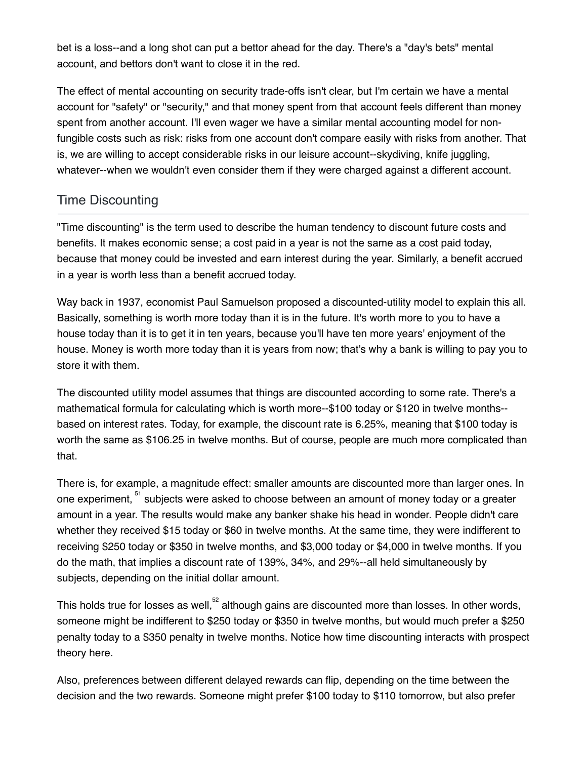bet is a loss--and a long shot can put a bettor ahead for the day. There's a "day's bets" mental account, and bettors don't want to close it in the red.

The effect of mental accounting on security trade-offs isn't clear, but I'm certain we have a mental account for "safety" or "security," and that money spent from that account feels different than money spent from another account. I'll even wager we have a similar mental accounting model for nonfungible costs such as risk: risks from one account don't compare easily with risks from another. That is, we are willing to accept considerable risks in our leisure account--skydiving, knife juggling, whatever--when we wouldn't even consider them if they were charged against a different account.

### Time Discounting

"Time discounting" is the term used to describe the human tendency to discount future costs and benefits. It makes economic sense; a cost paid in a year is not the same as a cost paid today, because that money could be invested and earn interest during the year. Similarly, a benefit accrued in a year is worth less than a benefit accrued today.

Way back in 1937, economist Paul Samuelson proposed a discounted-utility model to explain this all. Basically, something is worth more today than it is in the future. It's worth more to you to have a house today than it is to get it in ten years, because you'll have ten more years' enjoyment of the house. Money is worth more today than it is years from now; that's why a bank is willing to pay you to store it with them.

The discounted utility model assumes that things are discounted according to some rate. There's a mathematical formula for calculating which is worth more--\$100 today or \$120 in twelve months- based on interest rates. Today, for example, the discount rate is 6.25%, meaning that \$100 today is worth the same as \$106.25 in twelve months. But of course, people are much more complicated than that.

There is, for example, a magnitude effect: smaller amounts are discounted more than larger ones. In one experiment,  $^{\mathsf{51}}$  subjects were asked to choose between an amount of money today or a greater amount in a year. The results would make any banker shake his head in wonder. People didn't care whether they received \$15 today or \$60 in twelve months. At the same time, they were indifferent to receiving \$250 today or \$350 in twelve months, and \$3,000 today or \$4,000 in twelve months. If you do the math, that implies a discount rate of 139%, 34%, and 29%--all held simultaneously by subjects, depending on the initial dollar amount.

This holds true for losses as well, $52$  although gains are discounted more than losses. In other words, someone might be indifferent to \$250 today or \$350 in twelve months, but would much prefer a \$250 penalty today to a \$350 penalty in twelve months. Notice how time discounting interacts with prospect theory here.

Also, preferences between different delayed rewards can flip, depending on the time between the decision and the two rewards. Someone might prefer \$100 today to \$110 tomorrow, but also prefer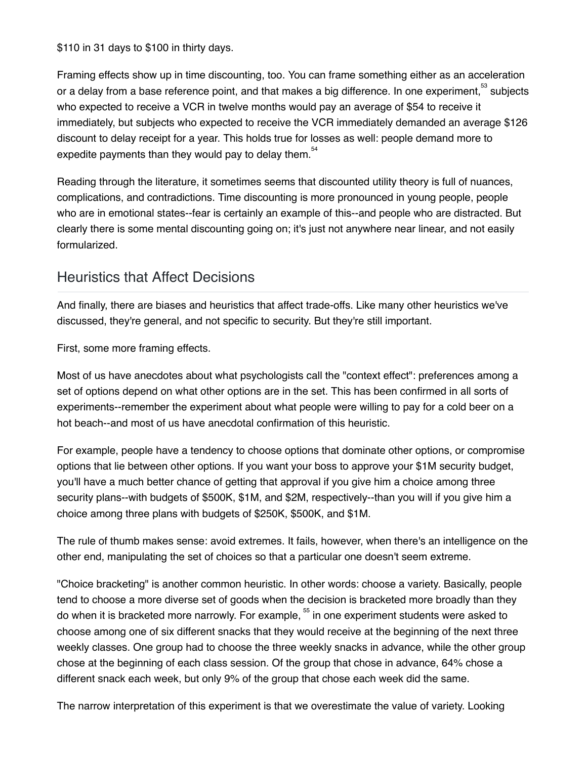\$110 in 31 days to \$100 in thirty days.

Framing effects show up in time discounting, too. You can frame something either as an acceleration or a delay from a base reference point, and that makes a big difference. In one experiment, $^{53}$  subjects who expected to receive a VCR in twelve months would pay an average of \$54 to receive it immediately, but subjects who expected to receive the VCR immediately demanded an average \$126 discount to delay receipt for a year. This holds true for losses as well: people demand more to expedite payments than they would pay to delay them.<sup>54</sup>

Reading through the literature, it sometimes seems that discounted utility theory is full of nuances, complications, and contradictions. Time discounting is more pronounced in young people, people who are in emotional states--fear is certainly an example of this--and people who are distracted. But clearly there is some mental discounting going on; it's just not anywhere near linear, and not easily formularized.

## Heuristics that Affect Decisions

And finally, there are biases and heuristics that affect trade-offs. Like many other heuristics we've discussed, they're general, and not specific to security. But they're still important.

First, some more framing effects.

Most of us have anecdotes about what psychologists call the "context effect": preferences among a set of options depend on what other options are in the set. This has been confirmed in all sorts of experiments--remember the experiment about what people were willing to pay for a cold beer on a hot beach--and most of us have anecdotal confirmation of this heuristic.

For example, people have a tendency to choose options that dominate other options, or compromise options that lie between other options. If you want your boss to approve your \$1M security budget, you'll have a much better chance of getting that approval if you give him a choice among three security plans--with budgets of \$500K, \$1M, and \$2M, respectively--than you will if you give him a choice among three plans with budgets of \$250K, \$500K, and \$1M.

The rule of thumb makes sense: avoid extremes. It fails, however, when there's an intelligence on the other end, manipulating the set of choices so that a particular one doesn't seem extreme.

"Choice bracketing" is another common heuristic. In other words: choose a variety. Basically, people tend to choose a more diverse set of goods when the decision is bracketed more broadly than they do when it is bracketed more narrowly. For example,  $^{55}$  in one experiment students were asked to choose among one of six different snacks that they would receive at the beginning of the next three weekly classes. One group had to choose the three weekly snacks in advance, while the other group chose at the beginning of each class session. Of the group that chose in advance, 64% chose a different snack each week, but only 9% of the group that chose each week did the same.

The narrow interpretation of this experiment is that we overestimate the value of variety. Looking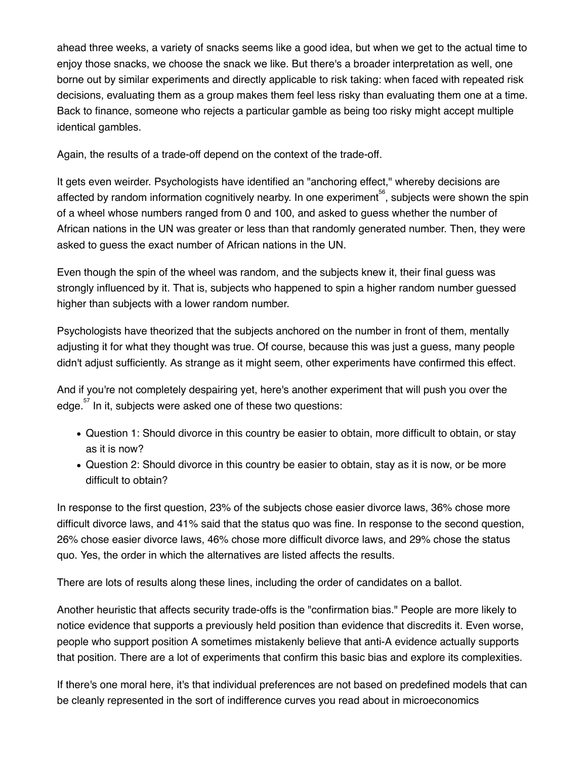ahead three weeks, a variety of snacks seems like a good idea, but when we get to the actual time to enjoy those snacks, we choose the snack we like. But there's a broader interpretation as well, one borne out by similar experiments and directly applicable to risk taking: when faced with repeated risk decisions, evaluating them as a group makes them feel less risky than evaluating them one at a time. Back to finance, someone who rejects a particular gamble as being too risky might accept multiple identical gambles.

Again, the results of a trade-off depend on the context of the trade-off.

It gets even weirder. Psychologists have identified an "anchoring effect," whereby decisions are affected by random information cognitively nearby. In one experiment<sup>56</sup>, subjects were shown the spin of a wheel whose numbers ranged from 0 and 100, and asked to guess whether the number of African nations in the UN was greater or less than that randomly generated number. Then, they were asked to guess the exact number of African nations in the UN.

Even though the spin of the wheel was random, and the subjects knew it, their final guess was strongly influenced by it. That is, subjects who happened to spin a higher random number guessed higher than subjects with a lower random number.

Psychologists have theorized that the subjects anchored on the number in front of them, mentally adjusting it for what they thought was true. Of course, because this was just a guess, many people didn't adjust sufficiently. As strange as it might seem, other experiments have confirmed this effect.

And if you're not completely despairing yet, here's another experiment that will push you over the edge. $57$  In it, subjects were asked one of these two questions:

- Question 1: Should divorce in this country be easier to obtain, more difficult to obtain, or stay as it is now?
- Question 2: Should divorce in this country be easier to obtain, stay as it is now, or be more difficult to obtain?

In response to the first question, 23% of the subjects chose easier divorce laws, 36% chose more difficult divorce laws, and 41% said that the status quo was fine. In response to the second question, 26% chose easier divorce laws, 46% chose more difficult divorce laws, and 29% chose the status quo. Yes, the order in which the alternatives are listed affects the results.

There are lots of results along these lines, including the order of candidates on a ballot.

Another heuristic that affects security trade-offs is the "confirmation bias." People are more likely to notice evidence that supports a previously held position than evidence that discredits it. Even worse, people who support position A sometimes mistakenly believe that anti-A evidence actually supports that position. There are a lot of experiments that confirm this basic bias and explore its complexities.

If there's one moral here, it's that individual preferences are not based on predefined models that can be cleanly represented in the sort of indifference curves you read about in microeconomics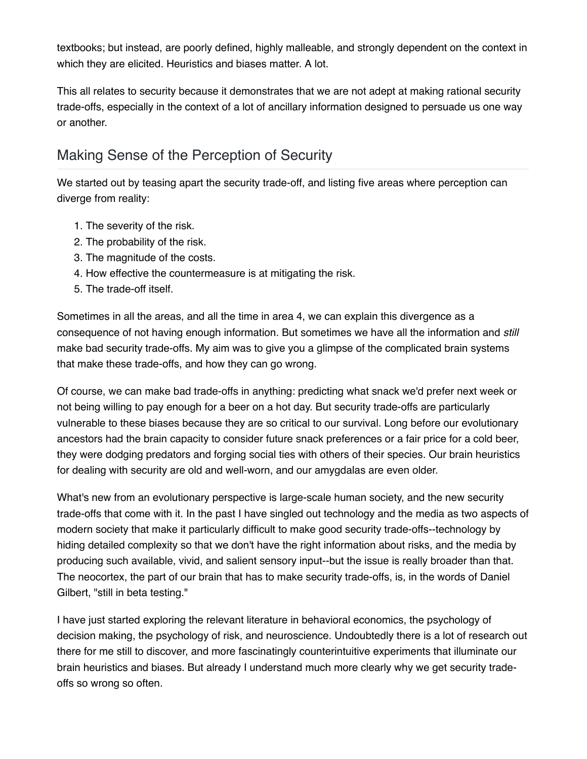textbooks; but instead, are poorly defined, highly malleable, and strongly dependent on the context in which they are elicited. Heuristics and biases matter. A lot.

This all relates to security because it demonstrates that we are not adept at making rational security trade-offs, especially in the context of a lot of ancillary information designed to persuade us one way or another.

## Making Sense of the Perception of Security

We started out by teasing apart the security trade-off, and listing five areas where perception can diverge from reality:

- 1. The severity of the risk.
- 2. The probability of the risk.
- 3. The magnitude of the costs.
- 4. How effective the countermeasure is at mitigating the risk.
- 5. The trade-off itself.

Sometimes in all the areas, and all the time in area 4, we can explain this divergence as a consequence of not having enough information. But sometimes we have all the information and *still* make bad security trade-offs. My aim was to give you a glimpse of the complicated brain systems that make these trade-offs, and how they can go wrong.

Of course, we can make bad trade-offs in anything: predicting what snack we'd prefer next week or not being willing to pay enough for a beer on a hot day. But security trade-offs are particularly vulnerable to these biases because they are so critical to our survival. Long before our evolutionary ancestors had the brain capacity to consider future snack preferences or a fair price for a cold beer, they were dodging predators and forging social ties with others of their species. Our brain heuristics for dealing with security are old and well-worn, and our amygdalas are even older.

What's new from an evolutionary perspective is large-scale human society, and the new security trade-offs that come with it. In the past I have singled out technology and the media as two aspects of modern society that make it particularly difficult to make good security trade-offs--technology by hiding detailed complexity so that we don't have the right information about risks, and the media by producing such available, vivid, and salient sensory input--but the issue is really broader than that. The neocortex, the part of our brain that has to make security trade-offs, is, in the words of Daniel Gilbert, "still in beta testing."

I have just started exploring the relevant literature in behavioral economics, the psychology of decision making, the psychology of risk, and neuroscience. Undoubtedly there is a lot of research out there for me still to discover, and more fascinatingly counterintuitive experiments that illuminate our brain heuristics and biases. But already I understand much more clearly why we get security tradeoffs so wrong so often.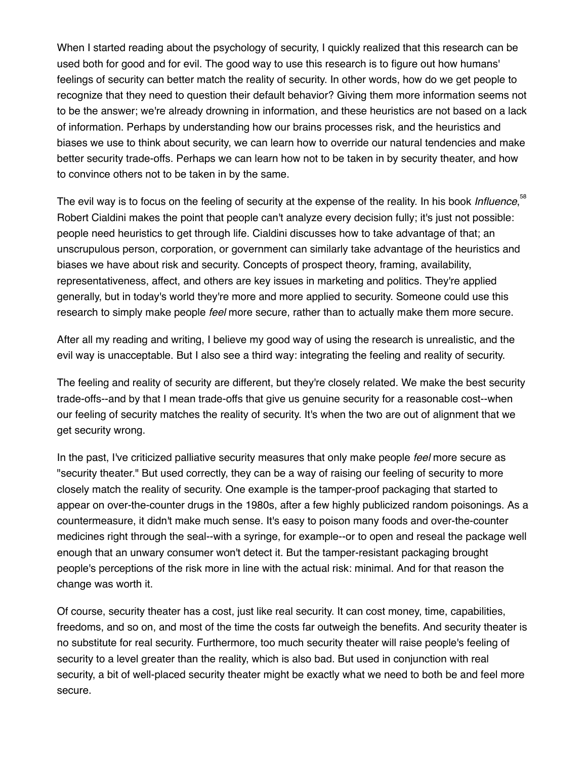When I started reading about the psychology of security, I quickly realized that this research can be used both for good and for evil. The good way to use this research is to figure out how humans' feelings of security can better match the reality of security. In other words, how do we get people to recognize that they need to question their default behavior? Giving them more information seems not to be the answer; we're already drowning in information, and these heuristics are not based on a lack of information. Perhaps by understanding how our brains processes risk, and the heuristics and biases we use to think about security, we can learn how to override our natural tendencies and make better security trade-offs. Perhaps we can learn how not to be taken in by security theater, and how to convince others not to be taken in by the same.

The evil way is to focus on the feeling of security at the expense of the reality. In his book *Influence*, 58Robert Cialdini makes the point that people can't analyze every decision fully; it's just not possible: people need heuristics to get through life. Cialdini discusses how to take advantage of that; an unscrupulous person, corporation, or government can similarly take advantage of the heuristics and biases we have about risk and security. Concepts of prospect theory, framing, availability, representativeness, affect, and others are key issues in marketing and politics. They're applied generally, but in today's world they're more and more applied to security. Someone could use this research to simply make people *feel* more secure, rather than to actually make them more secure.

After all my reading and writing, I believe my good way of using the research is unrealistic, and the evil way is unacceptable. But I also see a third way: integrating the feeling and reality of security.

The feeling and reality of security are different, but they're closely related. We make the best security trade-offs--and by that I mean trade-offs that give us genuine security for a reasonable cost--when our feeling of security matches the reality of security. It's when the two are out of alignment that we get security wrong.

In the past, I've criticized palliative security measures that only make people *feel* more secure as "security theater." But used correctly, they can be a way of raising our feeling of security to more closely match the reality of security. One example is the tamper-proof packaging that started to appear on over-the-counter drugs in the 1980s, after a few highly publicized random poisonings. As a countermeasure, it didn't make much sense. It's easy to poison many foods and over-the-counter medicines right through the seal--with a syringe, for example--or to open and reseal the package well enough that an unwary consumer won't detect it. But the tamper-resistant packaging brought people's perceptions of the risk more in line with the actual risk: minimal. And for that reason the change was worth it.

Of course, security theater has a cost, just like real security. It can cost money, time, capabilities, freedoms, and so on, and most of the time the costs far outweigh the benefits. And security theater is no substitute for real security. Furthermore, too much security theater will raise people's feeling of security to a level greater than the reality, which is also bad. But used in conjunction with real security, a bit of well-placed security theater might be exactly what we need to both be and feel more secure.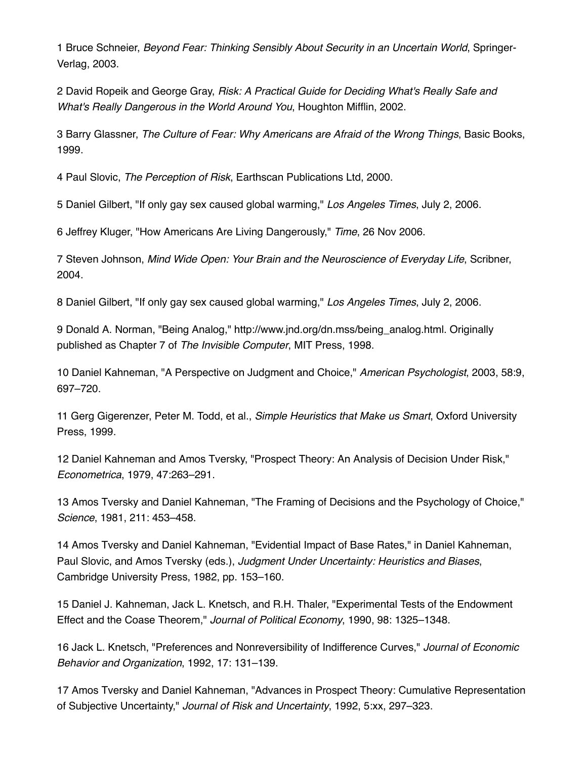1 Bruce Schneier, *Beyond Fear: Thinking Sensibly About Security in an Uncertain World*, Springer-Verlag, 2003.

2 David Ropeik and George Gray, *Risk: A Practical Guide for Deciding What's Really Safe and What's Really Dangerous in the World Around You*, Houghton Mifflin, 2002.

3 Barry Glassner, *The Culture of Fear: Why Americans are Afraid of the Wrong Things*, Basic Books, 1999.

4 Paul Slovic, *The Perception of Risk*, Earthscan Publications Ltd, 2000.

5 Daniel Gilbert, "If only gay sex caused global warming," *Los Angeles Times*, July 2, 2006.

6 Jeffrey Kluger, "How Americans Are Living Dangerously," *Time*, 26 Nov 2006.

7 Steven Johnson, *Mind Wide Open: Your Brain and the Neuroscience of Everyday Life*, Scribner, 2004.

8 Daniel Gilbert, "If only gay sex caused global warming," *Los Angeles Times*, July 2, 2006.

9 Donald A. Norman, "Being Analog," http://www.jnd.org/dn.mss/being\_analog.html. Originally published as Chapter 7 of *The Invisible Computer*, MIT Press, 1998.

10 Daniel Kahneman, "A Perspective on Judgment and Choice," *American Psychologist*, 2003, 58:9, 697–720.

11 Gerg Gigerenzer, Peter M. Todd, et al., *Simple Heuristics that Make us Smart*, Oxford University Press, 1999.

12 Daniel Kahneman and Amos Tversky, "Prospect Theory: An Analysis of Decision Under Risk," *Econometrica*, 1979, 47:263–291.

13 Amos Tversky and Daniel Kahneman, "The Framing of Decisions and the Psychology of Choice," *Science*, 1981, 211: 453–458.

14 Amos Tversky and Daniel Kahneman, "Evidential Impact of Base Rates," in Daniel Kahneman, Paul Slovic, and Amos Tversky (eds.), *Judgment Under Uncertainty: Heuristics and Biases*, Cambridge University Press, 1982, pp. 153–160.

15 Daniel J. Kahneman, Jack L. Knetsch, and R.H. Thaler, "Experimental Tests of the Endowment Effect and the Coase Theorem," *Journal of Political Economy*, 1990, 98: 1325–1348.

16 Jack L. Knetsch, "Preferences and Nonreversibility of Indifference Curves," *Journal of Economic Behavior and Organization*, 1992, 17: 131–139.

17 Amos Tversky and Daniel Kahneman, "Advances in Prospect Theory: Cumulative Representation of Subjective Uncertainty," *Journal of Risk and Uncertainty*, 1992, 5:xx, 297–323.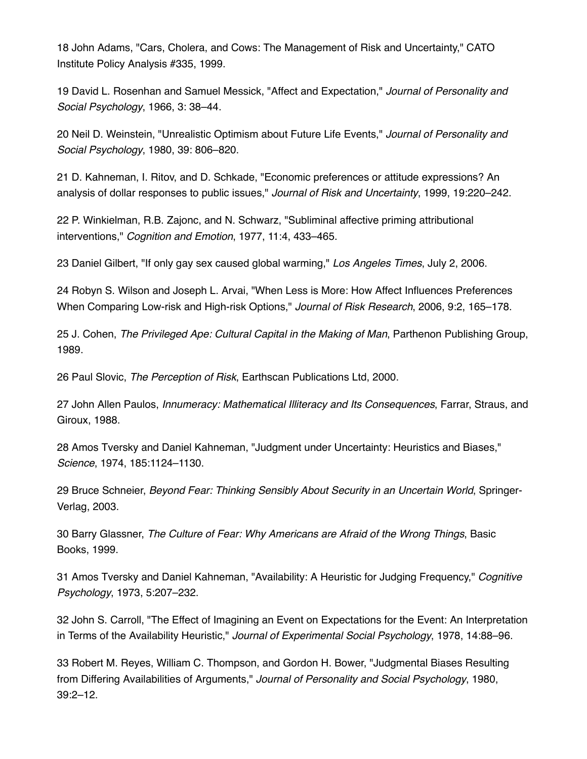18 John Adams, "Cars, Cholera, and Cows: The Management of Risk and Uncertainty," CATO Institute Policy Analysis #335, 1999.

19 David L. Rosenhan and Samuel Messick, "Affect and Expectation," *Journal of Personality and Social Psychology*, 1966, 3: 38–44.

20 Neil D. Weinstein, "Unrealistic Optimism about Future Life Events," *Journal of Personality and Social Psychology*, 1980, 39: 806–820.

21 D. Kahneman, I. Ritov, and D. Schkade, "Economic preferences or attitude expressions? An analysis of dollar responses to public issues," *Journal of Risk and Uncertainty*, 1999, 19:220–242.

22 P. Winkielman, R.B. Zajonc, and N. Schwarz, "Subliminal affective priming attributional interventions," *Cognition and Emotion*, 1977, 11:4, 433–465.

23 Daniel Gilbert, "If only gay sex caused global warming," *Los Angeles Times*, July 2, 2006.

24 Robyn S. Wilson and Joseph L. Arvai, "When Less is More: How Affect Influences Preferences When Comparing Low-risk and High-risk Options," *Journal of Risk Research*, 2006, 9:2, 165–178.

25 J. Cohen, *The Privileged Ape: Cultural Capital in the Making of Man*, Parthenon Publishing Group, 1989.

26 Paul Slovic, *The Perception of Risk*, Earthscan Publications Ltd, 2000.

27 John Allen Paulos, *Innumeracy: Mathematical Illiteracy and Its Consequences*, Farrar, Straus, and Giroux, 1988.

28 Amos Tversky and Daniel Kahneman, "Judgment under Uncertainty: Heuristics and Biases," *Science*, 1974, 185:1124–1130.

29 Bruce Schneier, *Beyond Fear: Thinking Sensibly About Security in an Uncertain World*, Springer-Verlag, 2003.

30 Barry Glassner, *The Culture of Fear: Why Americans are Afraid of the Wrong Things*, Basic Books, 1999.

31 Amos Tversky and Daniel Kahneman, "Availability: A Heuristic for Judging Frequency," *Cognitive Psychology*, 1973, 5:207–232.

32 John S. Carroll, "The Effect of Imagining an Event on Expectations for the Event: An Interpretation in Terms of the Availability Heuristic," *Journal of Experimental Social Psychology*, 1978, 14:88–96.

33 Robert M. Reyes, William C. Thompson, and Gordon H. Bower, "Judgmental Biases Resulting from Differing Availabilities of Arguments," *Journal of Personality and Social Psychology*, 1980, 39:2–12.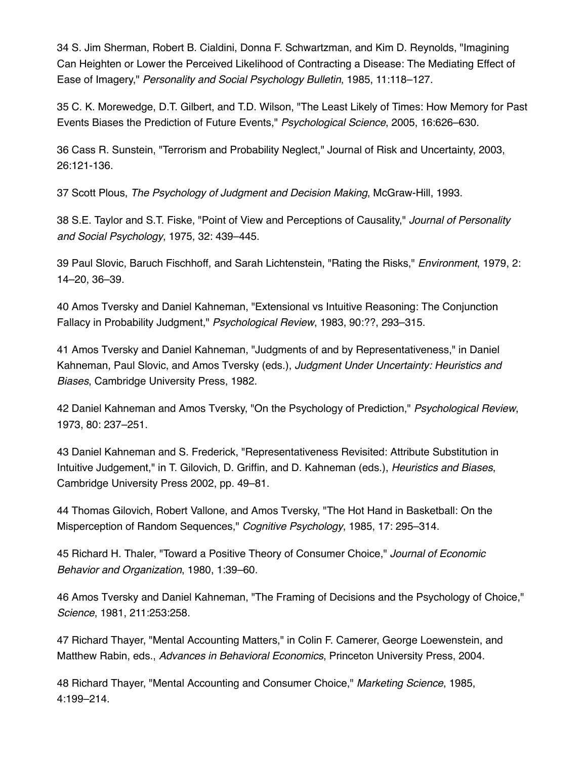34 S. Jim Sherman, Robert B. Cialdini, Donna F. Schwartzman, and Kim D. Reynolds, "Imagining Can Heighten or Lower the Perceived Likelihood of Contracting a Disease: The Mediating Effect of Ease of Imagery," *Personality and Social Psychology Bulletin*, 1985, 11:118–127.

35 C. K. Morewedge, D.T. Gilbert, and T.D. Wilson, "The Least Likely of Times: How Memory for Past Events Biases the Prediction of Future Events," *Psychological Science*, 2005, 16:626–630.

36 Cass R. Sunstein, "Terrorism and Probability Neglect," Journal of Risk and Uncertainty, 2003, 26:121-136.

37 Scott Plous, *The Psychology of Judgment and Decision Making*, McGraw-Hill, 1993.

38 S.E. Taylor and S.T. Fiske, "Point of View and Perceptions of Causality," *Journal of Personality and Social Psychology*, 1975, 32: 439–445.

39 Paul Slovic, Baruch Fischhoff, and Sarah Lichtenstein, "Rating the Risks," *Environment*, 1979, 2: 14–20, 36–39.

40 Amos Tversky and Daniel Kahneman, "Extensional vs Intuitive Reasoning: The Conjunction Fallacy in Probability Judgment," *Psychological Review*, 1983, 90:??, 293–315.

41 Amos Tversky and Daniel Kahneman, "Judgments of and by Representativeness," in Daniel Kahneman, Paul Slovic, and Amos Tversky (eds.), *Judgment Under Uncertainty: Heuristics and Biases*, Cambridge University Press, 1982.

42 Daniel Kahneman and Amos Tversky, "On the Psychology of Prediction," *Psychological Review*, 1973, 80: 237–251.

43 Daniel Kahneman and S. Frederick, "Representativeness Revisited: Attribute Substitution in Intuitive Judgement," in T. Gilovich, D. Griffin, and D. Kahneman (eds.), *Heuristics and Biases*, Cambridge University Press 2002, pp. 49–81.

44 Thomas Gilovich, Robert Vallone, and Amos Tversky, "The Hot Hand in Basketball: On the Misperception of Random Sequences," *Cognitive Psychology*, 1985, 17: 295–314.

45 Richard H. Thaler, "Toward a Positive Theory of Consumer Choice," *Journal of Economic Behavior and Organization*, 1980, 1:39–60.

46 Amos Tversky and Daniel Kahneman, "The Framing of Decisions and the Psychology of Choice," *Science*, 1981, 211:253:258.

47 Richard Thayer, "Mental Accounting Matters," in Colin F. Camerer, George Loewenstein, and Matthew Rabin, eds., *Advances in Behavioral Economics*, Princeton University Press, 2004.

48 Richard Thayer, "Mental Accounting and Consumer Choice," *Marketing Science*, 1985, 4:199–214.